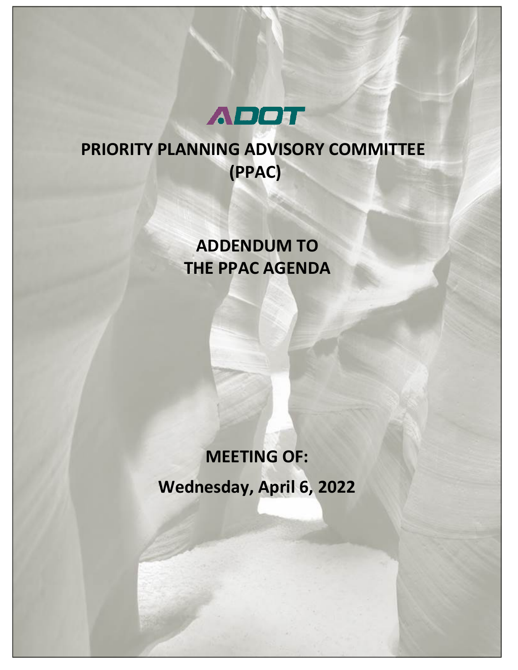

# **PRIORITY PLANNING ADVISORY COMMITTEE (PPAC)**

## **ADDENDUM TO THE PPAC AGENDA**

# **MEETING OF: Wednesday, April 6, 2022**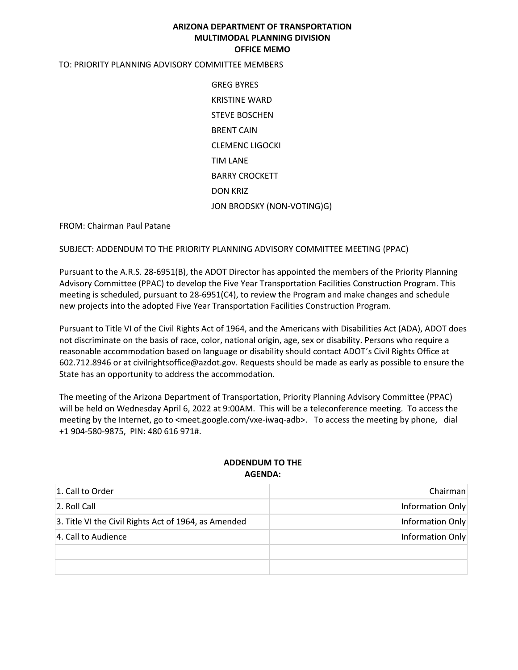#### **ARIZONA DEPARTMENT OF TRANSPORTATION MULTIMODAL PLANNING DIVISION OFFICE MEMO**

#### TO: PRIORITY PLANNING ADVISORY COMMITTEE MEMBERS

GREG BYRES KRISTINE WARD STEVE BOSCHEN BRENT CAIN CLEMENC LIGOCKI TIM LANE BARRY CROCKETT DON KRIZ JON BRODSKY (NON-VOTING)G)

FROM: Chairman Paul Patane

SUBJECT: ADDENDUM TO THE PRIORITY PLANNING ADVISORY COMMITTEE MEETING (PPAC)

Pursuant to the A.R.S. 28-6951(B), the ADOT Director has appointed the members of the Priority Planning Advisory Committee (PPAC) to develop the Five Year Transportation Facilities Construction Program. This meeting is scheduled, pursuant to 28-6951(C4), to review the Program and make changes and schedule new projects into the adopted Five Year Transportation Facilities Construction Program.

Pursuant to Title VI of the Civil Rights Act of 1964, and the Americans with Disabilities Act (ADA), ADOT does not discriminate on the basis of race, color, national origin, age, sex or disability. Persons who require a reasonable accommodation based on language or disability should contact ADOT's Civil Rights Office at 602.712.8946 or at civilrightsoffice@azdot.gov. Requests should be made as early as possible to ensure the State has an opportunity to address the accommodation.

The meeting of the Arizona Department of Transportation, Priority Planning Advisory Committee (PPAC) will be held on Wednesday April 6, 2022 at 9:00AM. This will be a teleconference meeting. To access the meeting by the Internet, go to <meet.google.com/vxe-iwaq-adb>. To access the meeting by phone, dial +1 904-580-9875, PIN: 480 616 971#.

#### **ADDENDUM TO THE AGENDA:**

| 1. Call to Order                                     | Chairman         |
|------------------------------------------------------|------------------|
| 2. Roll Call                                         | Information Only |
| 3. Title VI the Civil Rights Act of 1964, as Amended | Information Only |
| 4. Call to Audience                                  | Information Only |
|                                                      |                  |
|                                                      |                  |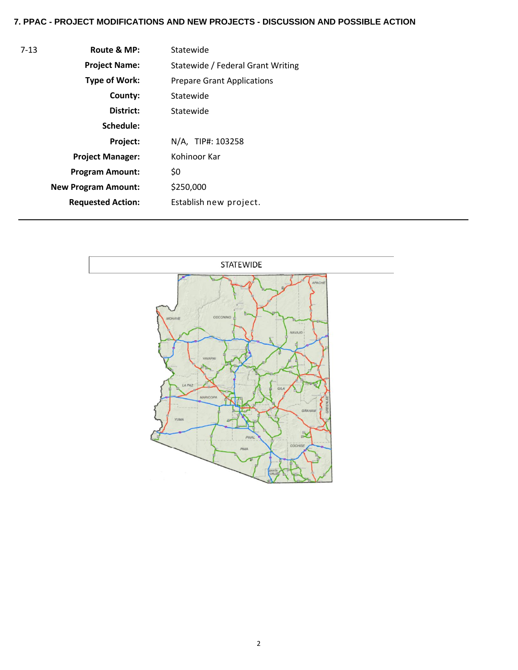## **7. PPAC - PROJECT MODIFICATIONS AND NEW PROJECTS - DISCUSSION AND POSSIBLE ACTION**

| $7-13$ | Route & MP:                | Statewide                         |  |  |  |  |
|--------|----------------------------|-----------------------------------|--|--|--|--|
|        | <b>Project Name:</b>       | Statewide / Federal Grant Writing |  |  |  |  |
|        | <b>Type of Work:</b>       | <b>Prepare Grant Applications</b> |  |  |  |  |
|        | County:                    | Statewide                         |  |  |  |  |
|        | District:                  | Statewide                         |  |  |  |  |
|        | Schedule:                  |                                   |  |  |  |  |
|        | Project:                   | N/A, TIP#: 103258                 |  |  |  |  |
|        | <b>Project Manager:</b>    | Kohinoor Kar                      |  |  |  |  |
|        | <b>Program Amount:</b>     | \$0                               |  |  |  |  |
|        | <b>New Program Amount:</b> | \$250,000                         |  |  |  |  |
|        | <b>Requested Action:</b>   | Establish new project.            |  |  |  |  |

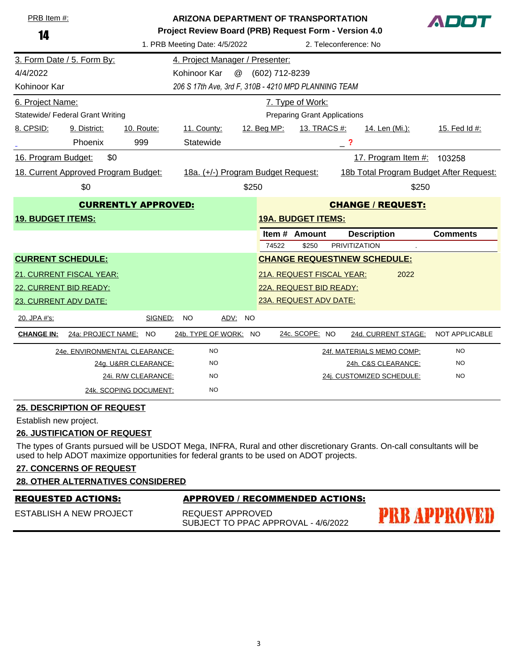| PRB Item #:                                     |                                                               | <b>ARIZONA DEPARTMENT OF TRANSPORTATION</b> |                                                                                                                 |                         |                                                                               |                  |                                     |                                     |                 |  |
|-------------------------------------------------|---------------------------------------------------------------|---------------------------------------------|-----------------------------------------------------------------------------------------------------------------|-------------------------|-------------------------------------------------------------------------------|------------------|-------------------------------------|-------------------------------------|-----------------|--|
| 14                                              |                                                               |                                             | Project Review Board (PRB) Request Form - Version 4.0<br>1. PRB Meeting Date: 4/5/2022<br>2. Teleconference: No |                         |                                                                               |                  |                                     |                                     |                 |  |
|                                                 | 3. Form Date / 5. Form By:<br>4. Project Manager / Presenter: |                                             |                                                                                                                 |                         |                                                                               |                  |                                     |                                     |                 |  |
| 4/4/2022                                        |                                                               |                                             | Kohinoor Kar<br>@                                                                                               |                         | (602) 712-8239                                                                |                  |                                     |                                     |                 |  |
| Kohinoor Kar                                    |                                                               |                                             | 206 S 17th Ave, 3rd F, 310B - 4210 MPD PLANNING TEAM                                                            |                         |                                                                               |                  |                                     |                                     |                 |  |
| 6. Project Name:                                |                                                               |                                             |                                                                                                                 |                         |                                                                               | 7. Type of Work: |                                     |                                     |                 |  |
|                                                 | Statewide/ Federal Grant Writing                              |                                             |                                                                                                                 |                         |                                                                               |                  | <b>Preparing Grant Applications</b> |                                     |                 |  |
| 8. CPSID:                                       | 9. District:                                                  | 10. Route:                                  | 11. County:                                                                                                     |                         | 12. Beg MP:                                                                   |                  | <u>13. TRACS #:</u>                 | <u>14. Len (Mi.):</u>               | 15. Fed Id #:   |  |
|                                                 | Phoenix                                                       | 999                                         | Statewide                                                                                                       |                         |                                                                               |                  | $-$ ?                               |                                     |                 |  |
| 16. Program Budget:                             | \$0                                                           |                                             |                                                                                                                 |                         |                                                                               |                  |                                     | 17. Program Item #:                 | 103258          |  |
|                                                 | 18. Current Approved Program Budget:                          |                                             |                                                                                                                 |                         | 18a. (+/-) Program Budget Request:<br>18b Total Program Budget After Request: |                  |                                     |                                     |                 |  |
|                                                 | \$0                                                           | \$250<br>\$250                              |                                                                                                                 |                         |                                                                               |                  |                                     |                                     |                 |  |
| <b>CURRENTLY APPROVED:</b>                      |                                                               |                                             | <b>CHANGE / REQUEST:</b>                                                                                        |                         |                                                                               |                  |                                     |                                     |                 |  |
| <b>19. BUDGET ITEMS:</b>                        |                                                               |                                             |                                                                                                                 |                         | <b>19A. BUDGET ITEMS:</b>                                                     |                  |                                     |                                     |                 |  |
|                                                 |                                                               |                                             |                                                                                                                 |                         | Item # Amount                                                                 |                  |                                     | <b>Description</b>                  | <b>Comments</b> |  |
|                                                 |                                                               |                                             |                                                                                                                 |                         | 74522<br><b>PRIVITIZATION</b><br>\$250                                        |                  |                                     |                                     |                 |  |
|                                                 | <b>CURRENT SCHEDULE:</b>                                      |                                             |                                                                                                                 |                         |                                                                               |                  |                                     | <b>CHANGE REQUEST\NEW SCHEDULE:</b> |                 |  |
|                                                 | 21. CURRENT FISCAL YEAR:                                      |                                             |                                                                                                                 |                         | 21A. REQUEST FISCAL YEAR:                                                     |                  |                                     | 2022                                |                 |  |
| 22. CURRENT BID READY:                          |                                                               |                                             |                                                                                                                 | 22A. REQUEST BID READY: |                                                                               |                  |                                     |                                     |                 |  |
| 23A. REQUEST ADV DATE:<br>23. CURRENT ADV DATE: |                                                               |                                             |                                                                                                                 |                         |                                                                               |                  |                                     |                                     |                 |  |
| 20. JPA #'s:                                    |                                                               | SIGNED:                                     | <b>NO</b><br>ADV: NO                                                                                            |                         |                                                                               |                  |                                     |                                     |                 |  |
| <b>CHANGE IN:</b>                               | 24a: PROJECT NAME:                                            | <b>NO</b>                                   | 24b. TYPE OF WORK: NO                                                                                           |                         |                                                                               | 24c. SCOPE: NO   |                                     | 24d. CURRENT STAGE:                 | NOT APPLICABLE  |  |
|                                                 |                                                               | 24e. ENVIRONMENTAL CLEARANCE:               | <b>NO</b>                                                                                                       |                         |                                                                               |                  |                                     | 24f. MATERIALS MEMO COMP:           | <b>NO</b>       |  |
|                                                 |                                                               | 24g. U&RR CLEARANCE:                        | <b>NO</b>                                                                                                       |                         |                                                                               |                  |                                     | 24h. C&S CLEARANCE:                 | <b>NO</b>       |  |
| 24i. R/W CLEARANCE:<br><b>NO</b>                |                                                               |                                             |                                                                                                                 |                         |                                                                               |                  | 24j. CUSTOMIZED SCHEDULE:           | <b>NO</b>                           |                 |  |
|                                                 |                                                               | 24k. SCOPING DOCUMENT:                      | <b>NO</b>                                                                                                       |                         |                                                                               |                  |                                     |                                     |                 |  |

#### **25. DESCRIPTION OF REQUEST**

Establish new project.

#### **26. JUSTIFICATION OF REQUEST**

The types of Grants pursued will be USDOT Mega, INFRA, Rural and other discretionary Grants. On-call consultants will be used to help ADOT maximize opportunities for federal grants to be used on ADOT projects.

## **27. CONCERNS OF REQUEST**

#### **28. OTHER ALTERNATIVES CONSIDERED**

#### REQUESTED ACTIONS: APPROVED / RECOMMENDED ACTIONS:

**PRB APPROVED** 

ESTABLISH A NEW PROJECT

REQUEST APPROVED SUBJECT TO PPAC APPROVAL - 4/6/2022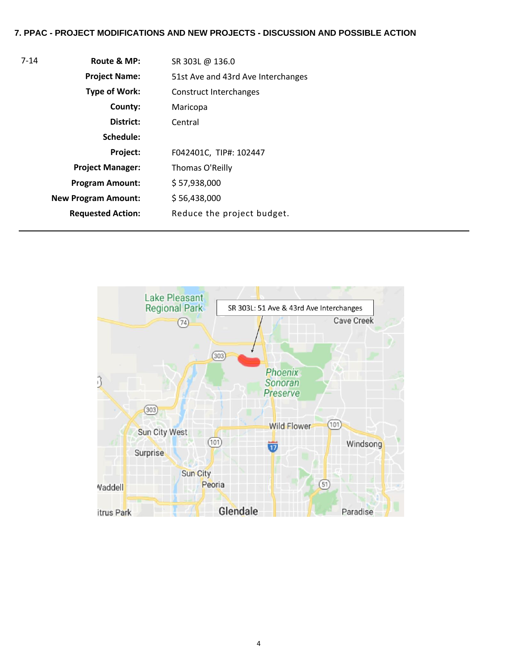#### **7. PPAC - PROJECT MODIFICATIONS AND NEW PROJECTS - DISCUSSION AND POSSIBLE ACTION**

| 7-14 | Route & MP:                | SR 303L @ 136.0                    |
|------|----------------------------|------------------------------------|
|      | <b>Project Name:</b>       | 51st Ave and 43rd Ave Interchanges |
|      | <b>Type of Work:</b>       | Construct Interchanges             |
|      | County:                    | Maricopa                           |
|      | District:                  | Central                            |
|      | Schedule:                  |                                    |
|      | Project:                   | F042401C, TIP#: 102447             |
|      | <b>Project Manager:</b>    | Thomas O'Reilly                    |
|      | <b>Program Amount:</b>     | \$57,938,000                       |
|      | <b>New Program Amount:</b> | \$56,438,000                       |
|      | <b>Requested Action:</b>   | Reduce the project budget.         |
|      |                            |                                    |

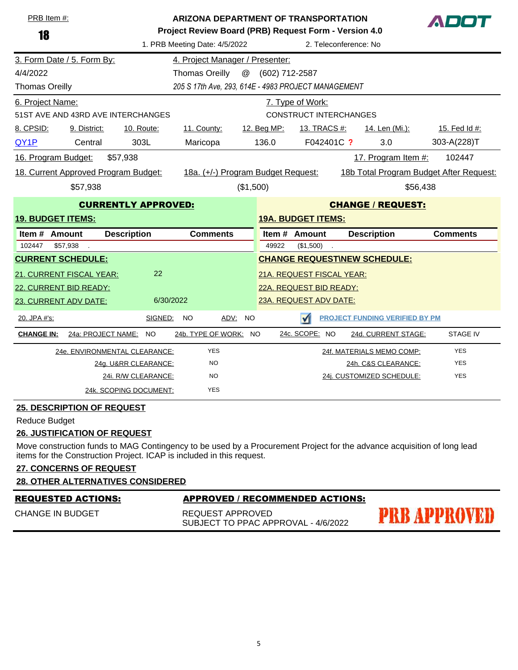| PRB Item #:<br>18        |                                                        | ARIZONA DEPARTMENT OF TRANSPORTATION<br>ADOT<br>Project Review Board (PRB) Request Form - Version 4.0 |                                                        |                           |                               |                                         |                 |  |  |
|--------------------------|--------------------------------------------------------|-------------------------------------------------------------------------------------------------------|--------------------------------------------------------|---------------------------|-------------------------------|-----------------------------------------|-----------------|--|--|
|                          |                                                        |                                                                                                       | 1. PRB Meeting Date: 4/5/2022<br>2. Teleconference: No |                           |                               |                                         |                 |  |  |
|                          | 3. Form Date / 5. Form By:                             |                                                                                                       | 4. Project Manager / Presenter:                        |                           |                               |                                         |                 |  |  |
| 4/4/2022                 |                                                        |                                                                                                       | <b>Thomas Oreilly</b><br>@                             | (602) 712-2587            |                               |                                         |                 |  |  |
| <b>Thomas Oreilly</b>    |                                                        | 205 S 17th Ave, 293, 614E - 4983 PROJECT MANAGEMENT                                                   |                                                        |                           |                               |                                         |                 |  |  |
| 6. Project Name:         |                                                        |                                                                                                       |                                                        |                           | 7. Type of Work:              |                                         |                 |  |  |
|                          |                                                        | 51ST AVE AND 43RD AVE INTERCHANGES                                                                    |                                                        |                           | <b>CONSTRUCT INTERCHANGES</b> |                                         |                 |  |  |
| 8. CPSID:                | 9. District:                                           | 10. Route:                                                                                            | 11. County:                                            | 12. Beg MP:               | <u>13. TRACS #:</u>           | 14. Len (Mi.):                          | 15. Fed Id #:   |  |  |
| QY <sub>1</sub> P        | Central                                                | 303L                                                                                                  | Maricopa                                               | 136.0                     | F042401C ?                    | 3.0                                     | 303-A(228)T     |  |  |
| 16. Program Budget:      |                                                        | \$57,938                                                                                              |                                                        |                           |                               | 17. Program Item #:                     | 102447          |  |  |
|                          |                                                        | 18. Current Approved Program Budget:                                                                  | 18a. (+/-) Program Budget Request:                     |                           |                               | 18b Total Program Budget After Request: |                 |  |  |
|                          | (\$1,500)<br>\$57,938<br>\$56,438                      |                                                                                                       |                                                        |                           |                               |                                         |                 |  |  |
|                          | <b>CURRENTLY APPROVED:</b><br><b>CHANGE / REQUEST:</b> |                                                                                                       |                                                        |                           |                               |                                         |                 |  |  |
| <b>19. BUDGET ITEMS:</b> |                                                        |                                                                                                       |                                                        | <b>19A. BUDGET ITEMS:</b> |                               |                                         |                 |  |  |
| Item # Amount            |                                                        | <b>Description</b>                                                                                    | <b>Comments</b>                                        |                           | Item # Amount                 | <b>Description</b>                      | <b>Comments</b> |  |  |
| 102447                   | \$57,938                                               |                                                                                                       |                                                        | 49922                     | (\$1,500)                     |                                         |                 |  |  |
| <b>CURRENT SCHEDULE:</b> |                                                        |                                                                                                       |                                                        |                           |                               | <b>CHANGE REQUEST\NEW SCHEDULE:</b>     |                 |  |  |
|                          | 21. CURRENT FISCAL YEAR:                               | 22                                                                                                    |                                                        |                           | 21A. REQUEST FISCAL YEAR:     |                                         |                 |  |  |
| 22. CURRENT BID READY:   |                                                        |                                                                                                       |                                                        | 22A. REQUEST BID READY:   |                               |                                         |                 |  |  |
| 23. CURRENT ADV DATE:    |                                                        | 6/30/2022                                                                                             |                                                        |                           | 23A. REQUEST ADV DATE:        |                                         |                 |  |  |
| 20. JPA #'s:             |                                                        | SIGNED:                                                                                               | <b>NO</b><br>ADV:<br><b>NO</b>                         |                           | $\sqrt{}$                     | <b>PROJECT FUNDING VERIFIED BY PM</b>   |                 |  |  |
| <b>CHANGE IN:</b>        | 24a: PROJECT NAME:                                     | <b>NO</b>                                                                                             | 24b. TYPE OF WORK: NO                                  |                           | 24c. SCOPE: NO                | 24d. CURRENT STAGE:                     | <b>STAGE IV</b> |  |  |
|                          |                                                        | 24e. ENVIRONMENTAL CLEARANCE:                                                                         | <b>YES</b>                                             |                           |                               | 24f. MATERIALS MEMO COMP:               | <b>YES</b>      |  |  |
|                          |                                                        | 24g. U&RR CLEARANCE:                                                                                  | <b>NO</b>                                              |                           |                               | 24h. C&S CLEARANCE:                     | <b>YES</b>      |  |  |
|                          |                                                        | 24i. R/W CLEARANCE:                                                                                   | <b>NO</b>                                              |                           |                               | 24j. CUSTOMIZED SCHEDULE:               | <b>YES</b>      |  |  |
|                          |                                                        | 24k. SCOPING DOCUMENT:                                                                                | <b>YES</b>                                             |                           |                               |                                         |                 |  |  |

#### **25. DESCRIPTION OF REQUEST**

Reduce Budget

#### **26. JUSTIFICATION OF REQUEST**

Move construction funds to MAG Contingency to be used by a Procurement Project for the advance acquisition of long lead items for the Construction Project. ICAP is included in this request.

## **27. CONCERNS OF REQUEST**

#### **28. OTHER ALTERNATIVES CONSIDERED**

#### REQUESTED ACTIONS: APPROVED / RECOMMENDED ACTIONS:

**PRB APPROVED** 

CHANGE IN BUDGET

REQUEST APPROVED SUBJECT TO PPAC APPROVAL - 4/6/2022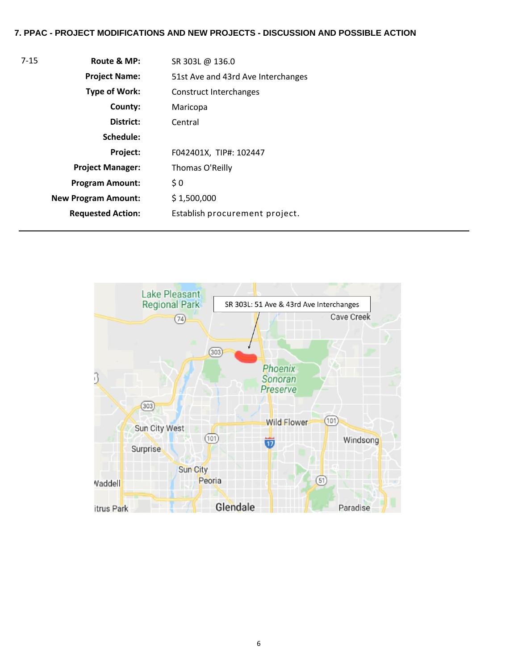#### **7. PPAC - PROJECT MODIFICATIONS AND NEW PROJECTS - DISCUSSION AND POSSIBLE ACTION**

| $7 - 15$ | Route & MP:                | SR 303L @ 136.0                    |
|----------|----------------------------|------------------------------------|
|          | <b>Project Name:</b>       | 51st Ave and 43rd Ave Interchanges |
|          | <b>Type of Work:</b>       | Construct Interchanges             |
|          | County:                    | Maricopa                           |
|          | District:                  | Central                            |
|          | Schedule:                  |                                    |
|          | Project:                   | F042401X, TIP#: 102447             |
|          | <b>Project Manager:</b>    | Thomas O'Reilly                    |
|          | <b>Program Amount:</b>     | \$0                                |
|          | <b>New Program Amount:</b> | \$1,500,000                        |
|          | <b>Requested Action:</b>   | Establish procurement project.     |

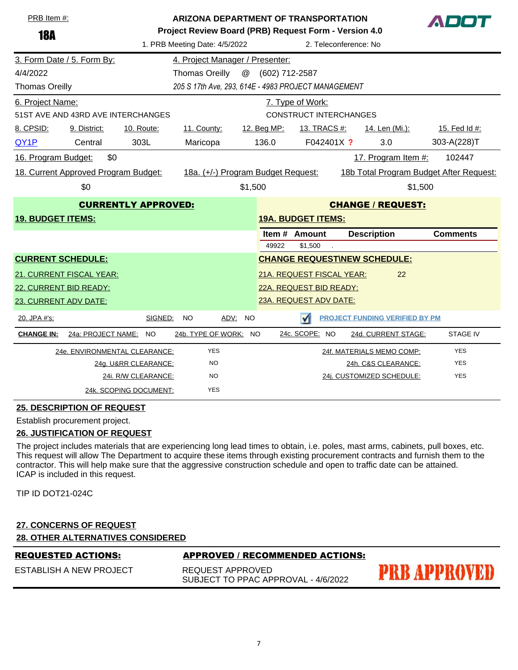| PRB Item #:                |                                                        | <b>ARIZONA DEPARTMENT OF TRANSPORTATION</b><br>ADM<br>Project Review Board (PRB) Request Form - Version 4.0 |                           |                         |                |                                                                               |  |                                       |                 |  |
|----------------------------|--------------------------------------------------------|-------------------------------------------------------------------------------------------------------------|---------------------------|-------------------------|----------------|-------------------------------------------------------------------------------|--|---------------------------------------|-----------------|--|
| <b>18A</b>                 | 1. PRB Meeting Date: 4/5/2022<br>2. Teleconference: No |                                                                                                             |                           |                         |                |                                                                               |  |                                       |                 |  |
|                            | 3. Form Date / 5. Form By:                             | 4. Project Manager / Presenter:                                                                             |                           |                         |                |                                                                               |  |                                       |                 |  |
| 4/4/2022                   |                                                        |                                                                                                             | <b>Thomas Oreilly</b>     | @                       | (602) 712-2587 |                                                                               |  |                                       |                 |  |
| <b>Thomas Oreilly</b>      |                                                        | 205 S 17th Ave, 293, 614E - 4983 PROJECT MANAGEMENT                                                         |                           |                         |                |                                                                               |  |                                       |                 |  |
| 6. Project Name:           |                                                        | 7. Type of Work:                                                                                            |                           |                         |                |                                                                               |  |                                       |                 |  |
|                            |                                                        | 51ST AVE AND 43RD AVE INTERCHANGES                                                                          |                           |                         |                | <b>CONSTRUCT INTERCHANGES</b>                                                 |  |                                       |                 |  |
| 8. CPSID:                  | 9. District:                                           | 10. Route:                                                                                                  | 11. County:               |                         | 12. Beg MP:    | <u>13. TRACS #:</u>                                                           |  | <u>14. Len (Mi.):</u>                 | 15. Fed Id #:   |  |
| QY1P                       | Central                                                | 303L                                                                                                        | Maricopa                  |                         | 136.0          | F042401X ?                                                                    |  | 3.0                                   | 303-A(228)T     |  |
| 16. Program Budget:        | \$0                                                    |                                                                                                             |                           |                         |                |                                                                               |  | 17. Program Item #:                   | 102447          |  |
|                            | 18. Current Approved Program Budget:                   |                                                                                                             |                           |                         |                | 18a. (+/-) Program Budget Request:<br>18b Total Program Budget After Request: |  |                                       |                 |  |
|                            | \$0                                                    | \$1,500<br>\$1,500                                                                                          |                           |                         |                |                                                                               |  |                                       |                 |  |
| <b>CURRENTLY APPROVED:</b> |                                                        |                                                                                                             | <b>CHANGE / REQUEST:</b>  |                         |                |                                                                               |  |                                       |                 |  |
| <b>19. BUDGET ITEMS:</b>   |                                                        |                                                                                                             | <b>19A. BUDGET ITEMS:</b> |                         |                |                                                                               |  |                                       |                 |  |
|                            |                                                        |                                                                                                             |                           |                         | Item#          | Amount                                                                        |  | <b>Description</b>                    | <b>Comments</b> |  |
|                            |                                                        |                                                                                                             |                           |                         | 49922          | \$1,500                                                                       |  |                                       |                 |  |
| <b>CURRENT SCHEDULE:</b>   |                                                        |                                                                                                             |                           |                         |                |                                                                               |  | <b>CHANGE REQUESTINEW SCHEDULE:</b>   |                 |  |
|                            | 21. CURRENT FISCAL YEAR:                               |                                                                                                             |                           |                         |                | 21A. REQUEST FISCAL YEAR:                                                     |  | 22                                    |                 |  |
| 22. CURRENT BID READY:     |                                                        |                                                                                                             |                           | 22A. REQUEST BID READY: |                |                                                                               |  |                                       |                 |  |
| 23. CURRENT ADV DATE:      |                                                        |                                                                                                             |                           |                         |                | 23A. REQUEST ADV DATE:                                                        |  |                                       |                 |  |
| 20. JPA #'s:               |                                                        | SIGNED:                                                                                                     | NO.<br>ADV:               | <b>NO</b>               |                | $\sqrt{}$                                                                     |  | <b>PROJECT FUNDING VERIFIED BY PM</b> |                 |  |
| <b>CHANGE IN:</b>          | 24a: PROJECT NAME:                                     | <b>NO</b>                                                                                                   | 24b. TYPE OF WORK: NO     |                         |                | 24c. SCOPE: NO                                                                |  | 24d. CURRENT STAGE:                   | <b>STAGE IV</b> |  |
|                            |                                                        | 24e. ENVIRONMENTAL CLEARANCE:                                                                               | <b>YES</b>                |                         |                |                                                                               |  | 24f. MATERIALS MEMO COMP:             | <b>YES</b>      |  |
|                            |                                                        | 24g. U&RR CLEARANCE:                                                                                        | <b>NO</b>                 |                         |                |                                                                               |  | 24h. C&S CLEARANCE:                   | <b>YES</b>      |  |
|                            |                                                        | 24i. R/W CLEARANCE:                                                                                         | <b>NO</b>                 |                         |                |                                                                               |  | 24j. CUSTOMIZED SCHEDULE:             | <b>YES</b>      |  |
|                            |                                                        | 24k. SCOPING DOCUMENT:                                                                                      | <b>YES</b>                |                         |                |                                                                               |  |                                       |                 |  |

#### **25. DESCRIPTION OF REQUEST**

Establish procurement project.

#### **26. JUSTIFICATION OF REQUEST**

The project includes materials that are experiencing long lead times to obtain, i.e. poles, mast arms, cabinets, pull boxes, etc. This request will allow The Department to acquire these items through existing procurement contracts and furnish them to the contractor. This will help make sure that the aggressive construction schedule and open to traffic date can be attained. ICAP is included in this request.

TIP ID DOT21-024C

#### **27. CONCERNS OF REQUEST**

**28. OTHER ALTERNATIVES CONSIDERED**

REQUESTED ACTIONS: APPROVED / RECOMMENDED ACTIONS:

ESTABLISH A NEW PROJECT

REQUEST APPROVED SUBJECT TO PPAC APPROVAL - 4/6/2022